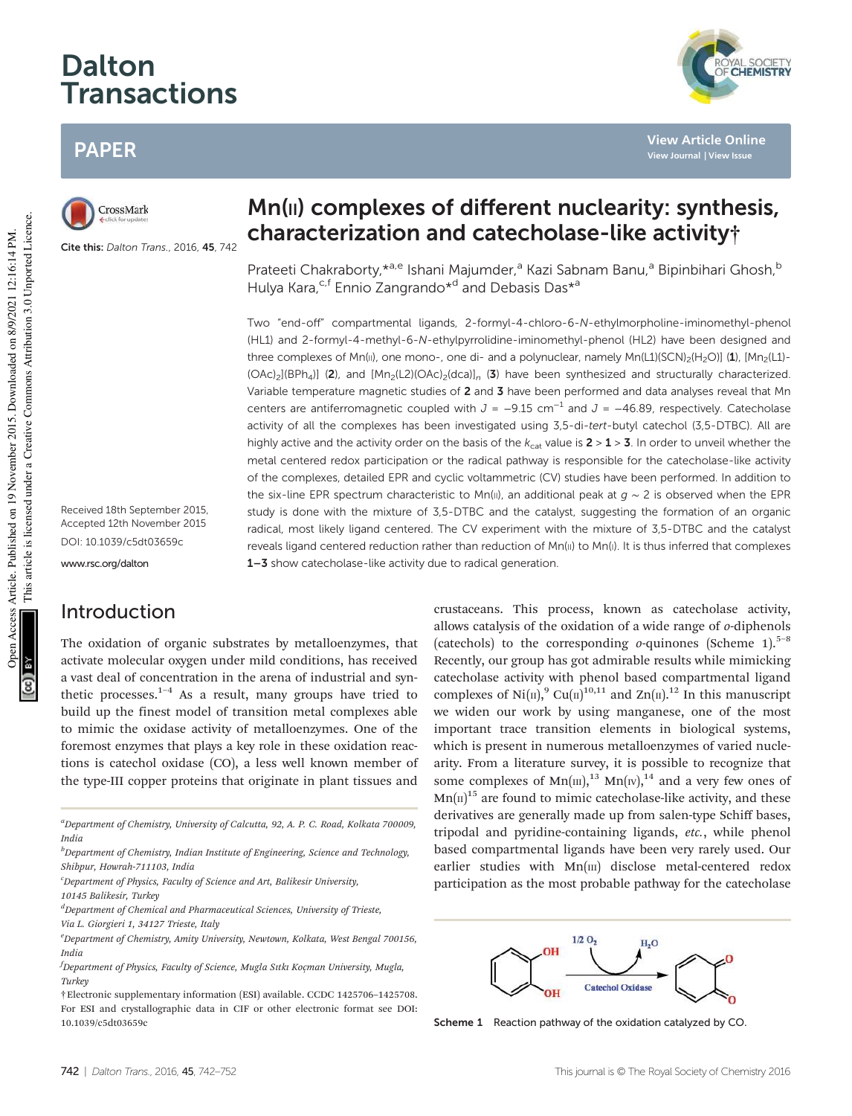# Dalton Transactions

# PAPER

CrossMark

Cite this: Dalton Trans., 2016, 45, 742

Mn(II) complexes of different nuclearity: synthesis, characterization and catecholase-like activity†

**View Article Online View Journal | View Issue**

AL SOCIETY<br>C**HEMISTRY** 

Prateeti Chakraborty, \*<sup>a,e</sup> Ishani Majumder,<sup>a</sup> Kazi Sabnam Banu,<sup>a</sup> Bipinbihari Ghosh,<sup>b</sup> Hulya Kara,<sup>c,f</sup> Ennio Zangrando<sup>\*d</sup> and Debasis Das<sup>\*a</sup>

Two "end-off" compartmental ligands, 2-formyl-4-chloro-6-N-ethylmorpholine-iminomethyl-phenol (HL1) and 2-formyl-4-methyl-6-N-ethylpyrrolidine-iminomethyl-phenol (HL2) have been designed and three complexes of Mn(II), one mono-, one di- and a polynuclear, namely Mn(L1)(SCN)<sub>2</sub>(H<sub>2</sub>O)] (1), [Mn<sub>2</sub>(L1)- $(OAc)_2[(BPh_4)]$  (2), and  $[Mn_2(L2)(OAc)_2(dca)]_n$  (3) have been synthesized and structurally characterized. Variable temperature magnetic studies of 2 and 3 have been performed and data analyses reveal that Mn centers are antiferromagnetic coupled with  $J = -9.15$  cm<sup>-1</sup> and  $J = -46.89$ , respectively. Catecholase activity of all the complexes has been investigated using 3,5-di-tert-butyl catechol (3,5-DTBC). All are highly active and the activity order on the basis of the  $k_{cat}$  value is  $2 > 1 > 3$ . In order to unveil whether the metal centered redox participation or the radical pathway is responsible for the catecholase-like activity of the complexes, detailed EPR and cyclic voltammetric (CV) studies have been performed. In addition to the six-line EPR spectrum characteristic to Mn(II), an additional peak at  $q \sim 2$  is observed when the EPR study is done with the mixture of 3,5-DTBC and the catalyst, suggesting the formation of an organic radical, most likely ligand centered. The CV experiment with the mixture of 3,5-DTBC and the catalyst reveals ligand centered reduction rather than reduction of Mn(II) to Mn(I). It is thus inferred that complexes 1-3 show catecholase-like activity due to radical generation.

Received 18th September 2015, Accepted 12th November 2015 DOI: 10.1039/c5dt03659c

www.rsc.org/dalton

# Introduction

The oxidation of organic substrates by metalloenzymes, that activate molecular oxygen under mild conditions, has received a vast deal of concentration in the arena of industrial and synthetic processes.<sup>1-4</sup> As a result, many groups have tried to build up the finest model of transition metal complexes able to mimic the oxidase activity of metalloenzymes. One of the foremost enzymes that plays a key role in these oxidation reactions is catechol oxidase (CO), a less well known member of the type-III copper proteins that originate in plant tissues and

<sup>a</sup>Department of Chemistry, University of Calcutta, 92, A. P. C. Road, Kolkata 700009, India

 ${}^{d}$ Department of Chemical and Pharmaceutical Sciences, University of Trieste, Via L. Giorgieri 1, 34127 Trieste, Italy

crustaceans. This process, known as catecholase activity, allows catalysis of the oxidation of a wide range of o-diphenols (catechols) to the corresponding  $o$ -quinones (Scheme 1).<sup>5–8</sup> Recently, our group has got admirable results while mimicking catecholase activity with phenol based compartmental ligand complexes of Ni(II),<sup>9</sup> Cu(II)<sup>10,11</sup> and Zn(II).<sup>12</sup> In this manuscript we widen our work by using manganese, one of the most important trace transition elements in biological systems, which is present in numerous metalloenzymes of varied nuclearity. From a literature survey, it is possible to recognize that some complexes of  $Mn(m)$ ,<sup>13</sup>  $Mn(w)$ ,<sup>14</sup> and a very few ones of  $Mn(\Pi)^{15}$  are found to mimic catecholase-like activity, and these derivatives are generally made up from salen-type Schiff bases, tripodal and pyridine-containing ligands, etc., while phenol based compartmental ligands have been very rarely used. Our earlier studies with Mn(III) disclose metal-centered redox participation as the most probable pathway for the catecholase



Scheme 1 Reaction pathway of the oxidation catalyzed by CO.

 $<sup>b</sup>$ Department of Chemistry, Indian Institute of Engineering, Science and Technology,</sup> Shibpur, Howrah-711103, India

 $c$ Department of Physics, Faculty of Science and Art, Balikesir University,

<sup>10145</sup> Balikesir, Turkey

 $e<sup>e</sup>$ Department of Chemistry, Amity University, Newtown, Kolkata, West Bengal 700156, **Indic** 

 $f$ Department of Physics, Faculty of Science, Mugla Sıtkı Koçman University, Mugla, Turkey

<sup>†</sup>Electronic supplementary information (ESI) available. CCDC 1425706–1425708. For ESI and crystallographic data in CIF or other electronic format see DOI: 10.1039/c5dt03659c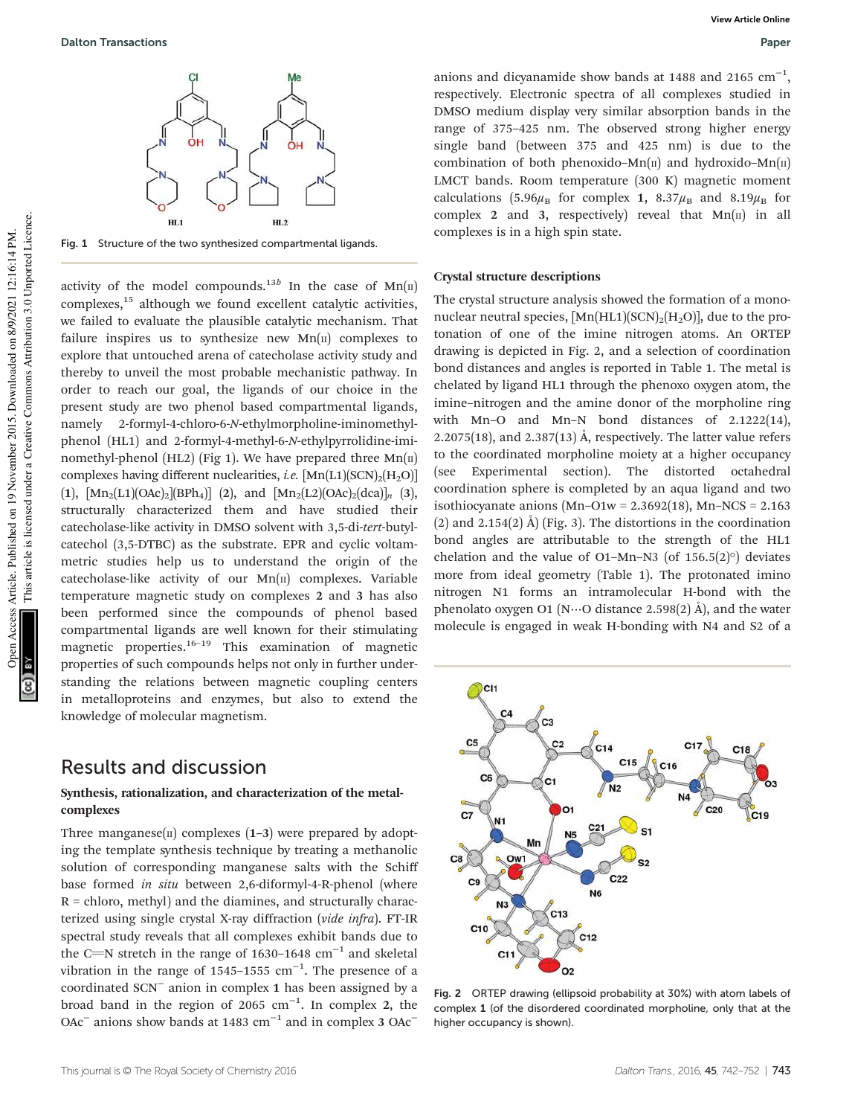

Fig. 1 Structure of the two synthesized compartmental ligands.

activity of the model compounds.<sup>13b</sup> In the case of  $Mn(\text{II})$ complexes,<sup>15</sup> although we found excellent catalytic activities, we failed to evaluate the plausible catalytic mechanism. That failure inspires us to synthesize new  $Mn(\mu)$  complexes to explore that untouched arena of catecholase activity study and thereby to unveil the most probable mechanistic pathway. In order to reach our goal, the ligands of our choice in the present study are two phenol based compartmental ligands, namely 2-formyl-4-chloro-6-N-ethylmorpholine-iminomethylphenol (HL1) and 2-formyl-4-methyl-6-N-ethylpyrrolidine-iminomethyl-phenol (HL2) (Fig 1). We have prepared three  $Mn(\text{II})$ complexes having different nuclearities, *i.e.*  $[Mn(L1)(SCN)_{2}(H_{2}O)]$ (1),  $[Mn_2(L1)(OAc)_2][BPh_4]$  (2), and  $[Mn_2(L2)(OAc)_2(dca)]_n$  (3), structurally characterized them and have studied their catecholase-like activity in DMSO solvent with 3,5-di-tert-butylcatechol (3,5-DTBC) as the substrate. EPR and cyclic voltammetric studies help us to understand the origin of the catecholase-like activity of our  $Mn(\pi)$  complexes. Variable temperature magnetic study on complexes 2 and 3 has also been performed since the compounds of phenol based compartmental ligands are well known for their stimulating magnetic properties.<sup>16–19</sup> This examination of magnetic properties of such compounds helps not only in further understanding the relations between magnetic coupling centers in metalloproteins and enzymes, but also to extend the knowledge of molecular magnetism.

# Results and discussion

#### Synthesis, rationalization, and characterization of the metalcomplexes

Three manganese( $\pi$ ) complexes (1–3) were prepared by adopting the template synthesis technique by treating a methanolic solution of corresponding manganese salts with the Schiff base formed in situ between 2,6-diformyl-4-R-phenol (where  $R =$  chloro, methyl) and the diamines, and structurally characterized using single crystal X-ray diffraction (vide infra). FT-IR spectral study reveals that all complexes exhibit bands due to the C=N stretch in the range of 1630–1648  $cm^{-1}$  and skeletal vibration in the range of 1545–1555  $cm^{-1}$ . The presence of a coordinated SCN<sup>−</sup> anion in complex 1 has been assigned by a broad band in the region of 2065  $cm^{-1}$ . In complex 2, the OAc<sup>-</sup> anions show bands at 1483 cm<sup>-1</sup> and in complex 3 OAc<sup>-</sup>

anions and dicyanamide show bands at 1488 and 2165  $cm^{-1}$ , respectively. Electronic spectra of all complexes studied in DMSO medium display very similar absorption bands in the range of 375–425 nm. The observed strong higher energy single band (between 375 and 425 nm) is due to the combination of both phenoxido–Mn $(n)$  and hydroxido–Mn $(n)$ LMCT bands. Room temperature (300 K) magnetic moment calculations (5.96 $\mu_B$  for complex 1, 8.37 $\mu_B$  and 8.19 $\mu_B$  for complex 2 and 3, respectively) reveal that  $Mn(\pi)$  in all complexes is in a high spin state.

#### Crystal structure descriptions

The crystal structure analysis showed the formation of a mononuclear neutral species,  $\text{[Mn(HL1)(SCN)}_{2}\text{[H}_{2}\text{O)}$ ], due to the protonation of one of the imine nitrogen atoms. An ORTEP drawing is depicted in Fig. 2, and a selection of coordination bond distances and angles is reported in Table 1. The metal is chelated by ligand HL1 through the phenoxo oxygen atom, the imine–nitrogen and the amine donor of the morpholine ring with Mn–O and Mn–N bond distances of 2.1222(14), 2.2075(18), and 2.387(13) Å, respectively. The latter value refers to the coordinated morpholine moiety at a higher occupancy (see Experimental section). The distorted octahedral coordination sphere is completed by an aqua ligand and two isothiocyanate anions  $(Mn-O1w = 2.3692(18), Mn-NCS = 2.163$ (2) and 2.154(2)  $\AA$ ) (Fig. 3). The distortions in the coordination bond angles are attributable to the strength of the HL1 chelation and the value of O1–Mn–N3 (of  $156.5(2)°$ ) deviates more from ideal geometry (Table 1). The protonated imino nitrogen N1 forms an intramolecular H-bond with the phenolato oxygen O1 ( $N\cdots$ O distance 2.598(2) Å), and the water molecule is engaged in weak H-bonding with N4 and S2 of a



Fig. 2 ORTEP drawing (ellipsoid probability at 30%) with atom labels of complex 1 (of the disordered coordinated morpholine, only that at the higher occupancy is shown).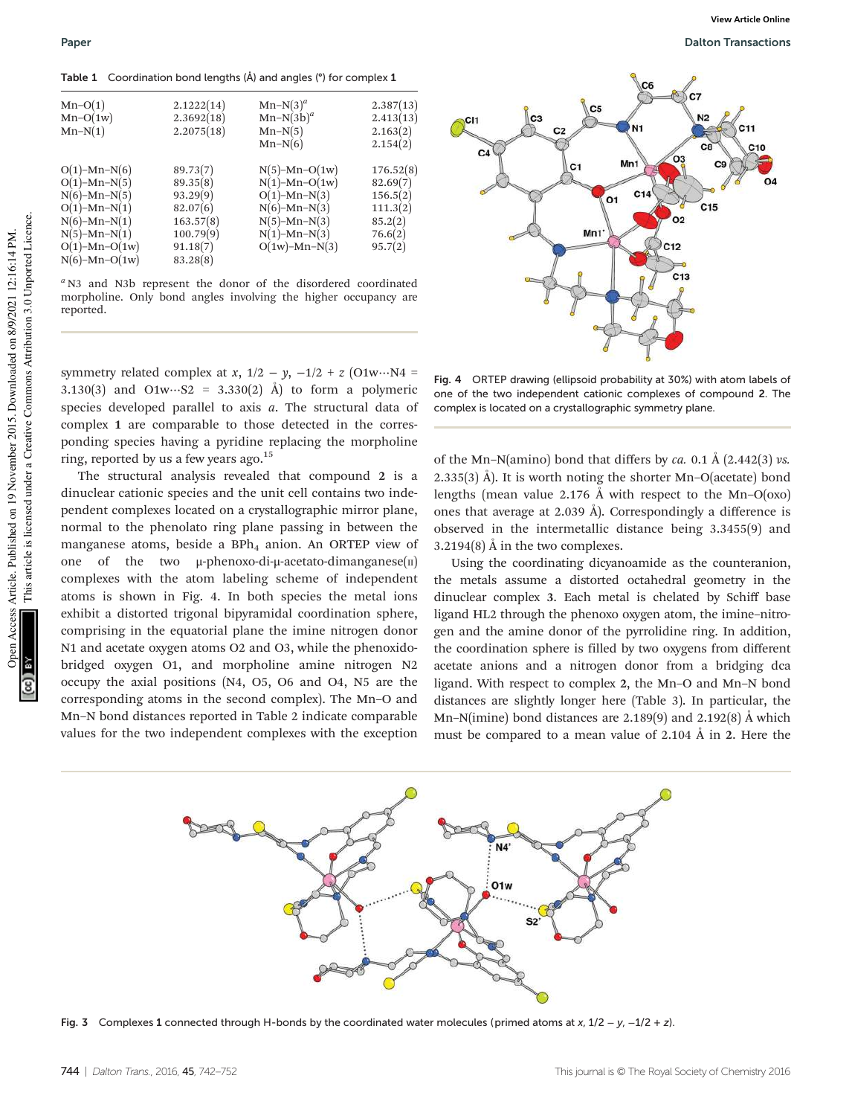Table 1 Coordination bond lengths (Å) and angles (°) for complex 1

| $Mn-O(1)$<br>$Mn-O(1w)$<br>$Mn-N(1)$                                                                                                                           | 2.1222(14)<br>2.3692(18)<br>2.2075(18)                                                         | $Mn-N(3)^a$<br>$Mn-N(3b)^a$<br>$Mn-N(5)$<br>$Mn-N(6)$                                                                                    | 2.387(13)<br>2.413(13)<br>2.163(2)<br>2.154(2)                                 |
|----------------------------------------------------------------------------------------------------------------------------------------------------------------|------------------------------------------------------------------------------------------------|------------------------------------------------------------------------------------------------------------------------------------------|--------------------------------------------------------------------------------|
| $O(1)$ –Mn–N $(6)$<br>$O(1)$ –Mn–N $(5)$<br>$N(6)-Mn-N(5)$<br>$O(1)$ -Mn-N $(1)$<br>$N(6)-Mn-N(1)$<br>$N(5)-Mn-N(1)$<br>$O(1)$ -Mn- $O(1w)$<br>$N(6)-Mn-O(1w)$ | 89.73(7)<br>89.35(8)<br>93.29(9)<br>82.07(6)<br>163.57(8)<br>100.79(9)<br>91.18(7)<br>83.28(8) | $N(5)$ -Mn-O(1w)<br>$N(1)$ -Mn-O(1w)<br>$O(1)$ -Mn-N $(3)$<br>$N(6)-Mn-N(3)$<br>$N(5)-Mn-N(3)$<br>$N(1)$ -Mn- $N(3)$<br>$O(1w)$ -Mn-N(3) | 176.52(8)<br>82.69(7)<br>156.5(2)<br>111.3(2)<br>85.2(2)<br>76.6(2)<br>95.7(2) |

 $a$  N3 and N3b represent the donor of the disordered coordinated morpholine. Only bond angles involving the higher occupancy are reported.

symmetry related complex at x,  $1/2 - y$ ,  $-1/2 + z$  (O1w…N4 = 3.130(3) and O1w…S2 = 3.330(2) Å) to form a polymeric species developed parallel to axis  $a$ . The structural data of complex 1 are comparable to those detected in the corresponding species having a pyridine replacing the morpholine ring, reported by us a few years ago.<sup>15</sup>

The structural analysis revealed that compound 2 is a dinuclear cationic species and the unit cell contains two independent complexes located on a crystallographic mirror plane, normal to the phenolato ring plane passing in between the manganese atoms, beside a  $BPh<sub>4</sub>$  anion. An ORTEP view of one of the two  $\mu$ -phenoxo-di- $\mu$ -acetato-dimanganese(II) complexes with the atom labeling scheme of independent atoms is shown in Fig. 4. In both species the metal ions exhibit a distorted trigonal bipyramidal coordination sphere, comprising in the equatorial plane the imine nitrogen donor N1 and acetate oxygen atoms O2 and O3, while the phenoxidobridged oxygen O1, and morpholine amine nitrogen N2 occupy the axial positions (N4, O5, O6 and O4, N5 are the corresponding atoms in the second complex). The Mn–O and Mn–N bond distances reported in Table 2 indicate comparable values for the two independent complexes with the exception

**View Article Online**



Fig. 4 ORTEP drawing (ellipsoid probability at 30%) with atom labels of one of the two independent cationic complexes of compound 2. The complex is located on a crystallographic symmetry plane.

of the Mn–N(amino) bond that differs by ca. 0.1 Å (2.442(3) vs. 2.335(3) Å). It is worth noting the shorter Mn–O(acetate) bond lengths (mean value 2.176 Å with respect to the Mn–O(oxo) ones that average at 2.039 Å). Correspondingly a difference is observed in the intermetallic distance being 3.3455(9) and 3.2194(8) Å in the two complexes.

Using the coordinating dicyanoamide as the counteranion, the metals assume a distorted octahedral geometry in the dinuclear complex 3. Each metal is chelated by Schiff base ligand HL2 through the phenoxo oxygen atom, the imine–nitrogen and the amine donor of the pyrrolidine ring. In addition, the coordination sphere is filled by two oxygens from different acetate anions and a nitrogen donor from a bridging dca ligand. With respect to complex 2, the Mn–O and Mn–N bond distances are slightly longer here (Table 3). In particular, the Mn–N(imine) bond distances are 2.189(9) and 2.192(8) Å which must be compared to a mean value of 2.104 Å in 2. Here the



Fig. 3 Complexes 1 connected through H-bonds by the coordinated water molecules (primed atoms at x,  $1/2 - y$ ,  $-1/2 + z$ ).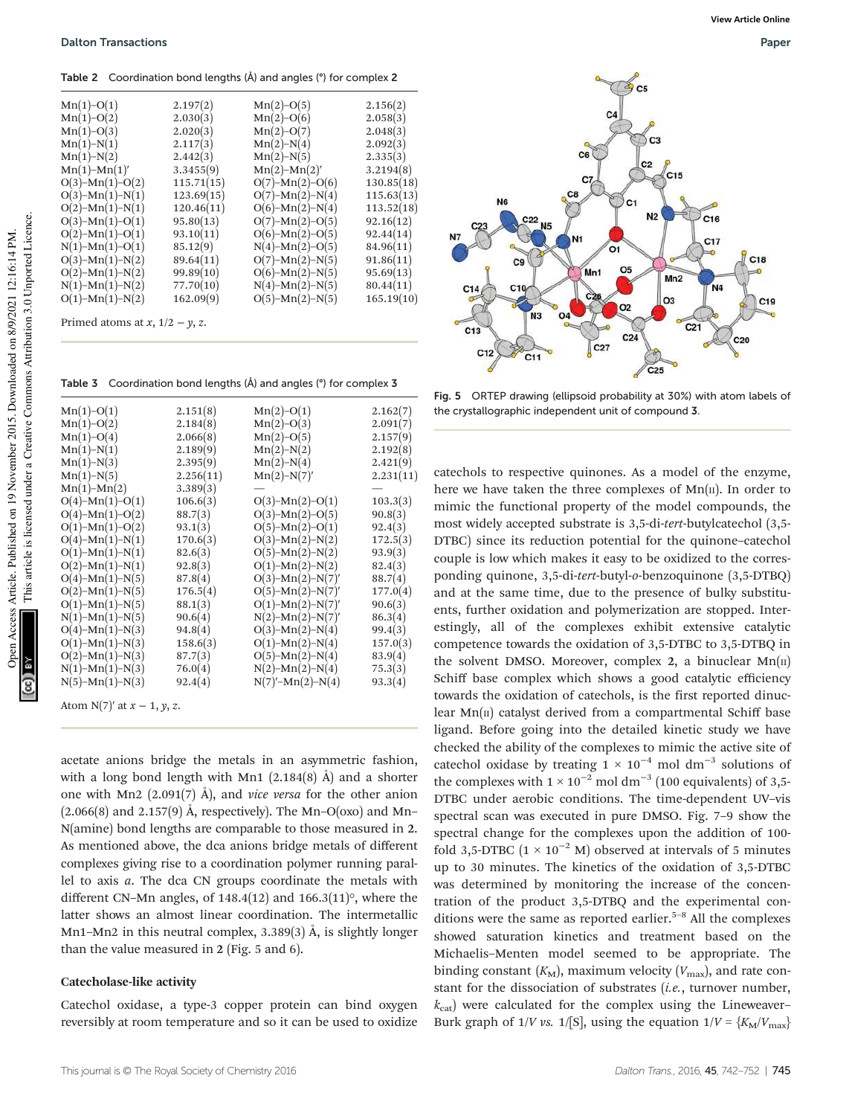Table 2 Coordination bond lengths (Å) and angles (°) for complex 2

| $Mn(1)-O(1)$              | 2.197(2)   | $Mn(2)-O(5)$              | 2.156(2)   |
|---------------------------|------------|---------------------------|------------|
| $Mn(1)-O(2)$              | 2.030(3)   | $Mn(2)-O(6)$              | 2.058(3)   |
| $Mn(1)-O(3)$              | 2.020(3)   | $Mn(2)-O(7)$              | 2.048(3)   |
| $Mn(1)-N(1)$              | 2.117(3)   | $Mn(2)-N(4)$              | 2.092(3)   |
| $Mn(1)-N(2)$              | 2.442(3)   | $Mn(2)-N(5)$              | 2.335(3)   |
| $Mn(1)-Mn(1)'$            | 3.3455(9)  | $Mn(2)-Mn(2)'$            | 3.2194(8)  |
| $O(3)$ -Mn(1)-O(2)        | 115.71(15) | $O(7)$ -Mn(2)-O(6)        | 130.85(18) |
| $O(3)$ -Mn(1)-N(1)        | 123.69(15) | $O(7)$ -Mn(2)-N(4)        | 115.63(13) |
| $O(2)$ -Mn(1)-N(1)        | 120.46(11) | $O(6)$ -Mn(2)-N(4)        | 113.52(18) |
| $O(3)$ -Mn(1)-O(1)        | 95.80(13)  | $O(7)$ -Mn(2)-O(5)        | 92.16(12)  |
| $O(2)$ -Mn(1)-O(1)        | 93.10(11)  | $O(6)$ -Mn(2)-O(5)        | 92.44(14)  |
| $N(1)$ - $Mn(1)$ - $O(1)$ | 85.12(9)   | $N(4)$ - $Mn(2)$ - $O(5)$ | 84.96(11)  |
| $O(3)$ -Mn(1)-N(2)        | 89.64(11)  | $O(7)$ -Mn(2)-N(5)        | 91.86(11)  |
| $O(2)$ -Mn(1)-N(2)        | 99.89(10)  | $O(6)$ -Mn(2)-N(5)        | 95.69(13)  |
| $N(1)$ - $Mn(1)$ - $N(2)$ | 77.70(10)  | $N(4)$ -Mn(2)-N(5)        | 80.44(11)  |
| $O(1)$ -Mn(1)-N(2)        | 162.09(9)  | $O(5)$ -Mn(2)-N(5)        | 165.19(10) |
|                           |            |                           |            |

Primed atoms at  $x$ ,  $1/2 - y$ , z.

Table 3 Coordination bond lengths (Å) and angles (°) for complex 3

| $Mn(1)-O(1)$              | 2.151(8)  | $Mn(2)-O(1)$               | 2.162(7)  |
|---------------------------|-----------|----------------------------|-----------|
| $Mn(1)-O(2)$              | 2.184(8)  | $Mn(2)-O(3)$               | 2.091(7)  |
| $Mn(1)-O(4)$              | 2.066(8)  | $Mn(2)-O(5)$               | 2.157(9)  |
| $Mn(1)-N(1)$              | 2.189(9)  | $Mn(2)-N(2)$               | 2.192(8)  |
| $Mn(1)-N(3)$              | 2.395(9)  | $Mn(2)-N(4)$               | 2.421(9)  |
| $Mn(1)-N(5)$              | 2.256(11) | $Mn(2)-N(7)'$              | 2.231(11) |
| $Mn(1)-Mn(2)$             | 3.389(3)  |                            |           |
| $O(4)$ -Mn(1)- $O(1)$     | 106.6(3)  | $O(3)$ -Mn(2)-O(1)         | 103.3(3)  |
| $O(4)$ -Mn(1)- $O(2)$     | 88.7(3)   | $O(3)$ -Mn(2)-O(5)         | 90.8(3)   |
| $O(1)$ -Mn(1)- $O(2)$     | 93.1(3)   | $O(5)$ -Mn(2)- $O(1)$      | 92.4(3)   |
| $O(4)$ -Mn(1)-N(1)        | 170.6(3)  | $O(3)$ -Mn(2)-N(2)         | 172.5(3)  |
| $O(1)$ -Mn(1)-N(1)        | 82.6(3)   | $O(5)$ -Mn(2)-N(2)         | 93.9(3)   |
| $O(2)$ -Mn(1)-N(1)        | 92.8(3)   | $O(1)$ -Mn(2)-N(2)         | 82.4(3)   |
| $O(4)$ -Mn(1)-N(5)        | 87.8(4)   | $O(3)$ -Mn(2)-N(7)'        | 88.7(4)   |
| $O(2)$ -Mn(1)-N(5)        | 176.5(4)  | $O(5)$ -Mn(2)-N(7)'        | 177.0(4)  |
| $O(1)$ -Mn $(1)$ -N $(5)$ | 88.1(3)   | $O(1)$ -Mn $(2)$ -N $(7)'$ | 90.6(3)   |
| $N(1)$ -Mn(1)- $N(5)$     | 90.6(4)   | $N(2)-Mn(2)-N(7)'$         | 86.3(4)   |
| $O(4)$ -Mn(1)-N(3)        | 94.8(4)   | $O(3)$ -Mn(2)-N(4)         | 99.4(3)   |
| $O(1)$ -Mn(1)-N(3)        | 158.6(3)  | $O(1)$ -Mn(2)-N(4)         | 157.0(3)  |
| $O(2)$ -Mn(1)-N(3)        | 87.7(3)   | $O(5)$ -Mn(2)-N(4)         | 83.9(4)   |
| $N(1)$ - $Mn(1)$ - $N(3)$ | 76.0(4)   | $N(2)$ - $Mn(2)$ - $N(4)$  | 75.3(3)   |
| $N(5)-Mn(1)-N(3)$         | 92.4(4)   | $N(7)'-Mn(2)-N(4)$         | 93.3(4)   |

Atom N(7)′ at x − 1, y, z.

acetate anions bridge the metals in an asymmetric fashion, with a long bond length with Mn1 (2.184(8) Å) and a shorter one with Mn2 (2.091(7) Å), and *vice versa* for the other anion  $(2.066(8)$  and  $2.157(9)$  Å, respectively). The Mn–O(oxo) and Mn– N(amine) bond lengths are comparable to those measured in 2. As mentioned above, the dca anions bridge metals of different complexes giving rise to a coordination polymer running parallel to axis a. The dca CN groups coordinate the metals with different CN–Mn angles, of  $148.4(12)$  and  $166.3(11)$ °, where the latter shows an almost linear coordination. The intermetallic Mn1–Mn2 in this neutral complex, 3.389(3) Å, is slightly longer than the value measured in 2 (Fig. 5 and 6).

#### Catecholase-like activity

Catechol oxidase, a type-3 copper protein can bind oxygen reversibly at room temperature and so it can be used to oxidize



Fig. 5 ORTEP drawing (ellipsoid probability at 30%) with atom labels of the crystallographic independent unit of compound 3.

catechols to respective quinones. As a model of the enzyme, here we have taken the three complexes of  $Mn(\pi)$ . In order to mimic the functional property of the model compounds, the most widely accepted substrate is 3,5-di-tert-butylcatechol (3,5- DTBC) since its reduction potential for the quinone–catechol couple is low which makes it easy to be oxidized to the corresponding quinone, 3,5-di-tert-butyl-o-benzoquinone (3,5-DTBQ) and at the same time, due to the presence of bulky substituents, further oxidation and polymerization are stopped. Interestingly, all of the complexes exhibit extensive catalytic competence towards the oxidation of 3,5-DTBC to 3,5-DTBQ in the solvent DMSO. Moreover, complex 2, a binuclear  $Mn(\pi)$ Schiff base complex which shows a good catalytic efficiency towards the oxidation of catechols, is the first reported dinuclear  $Mn(\pi)$  catalyst derived from a compartmental Schiff base ligand. Before going into the detailed kinetic study we have checked the ability of the complexes to mimic the active site of catechol oxidase by treating  $1 \times 10^{-4}$  mol dm<sup>-3</sup> solutions of the complexes with  $1 \times 10^{-2}$  mol dm<sup>-3</sup> (100 equivalents) of 3,5-DTBC under aerobic conditions. The time-dependent UV–vis spectral scan was executed in pure DMSO. Fig. 7–9 show the spectral change for the complexes upon the addition of 100 fold 3,5-DTBC ( $1 \times 10^{-2}$  M) observed at intervals of 5 minutes up to 30 minutes. The kinetics of the oxidation of 3,5-DTBC was determined by monitoring the increase of the concentration of the product 3,5-DTBQ and the experimental conditions were the same as reported earlier.<sup>5-8</sup> All the complexes showed saturation kinetics and treatment based on the Michaelis–Menten model seemed to be appropriate. The binding constant  $(K_M)$ , maximum velocity  $(V_{\text{max}})$ , and rate constant for the dissociation of substrates  $(i.e.,$  turnover number,  $k_{\text{cat}}$ ) were calculated for the complex using the Lineweaver– Burk graph of 1/V vs. 1/[S], using the equation  $1/V = \frac{K_M}{V_{\text{max}}}$ 

This article is licensed under a Creative Commons Attribution 3.0 Unported Licence.

This article is licensed under a Creative Commons Attribution 3.0 Unported Licence.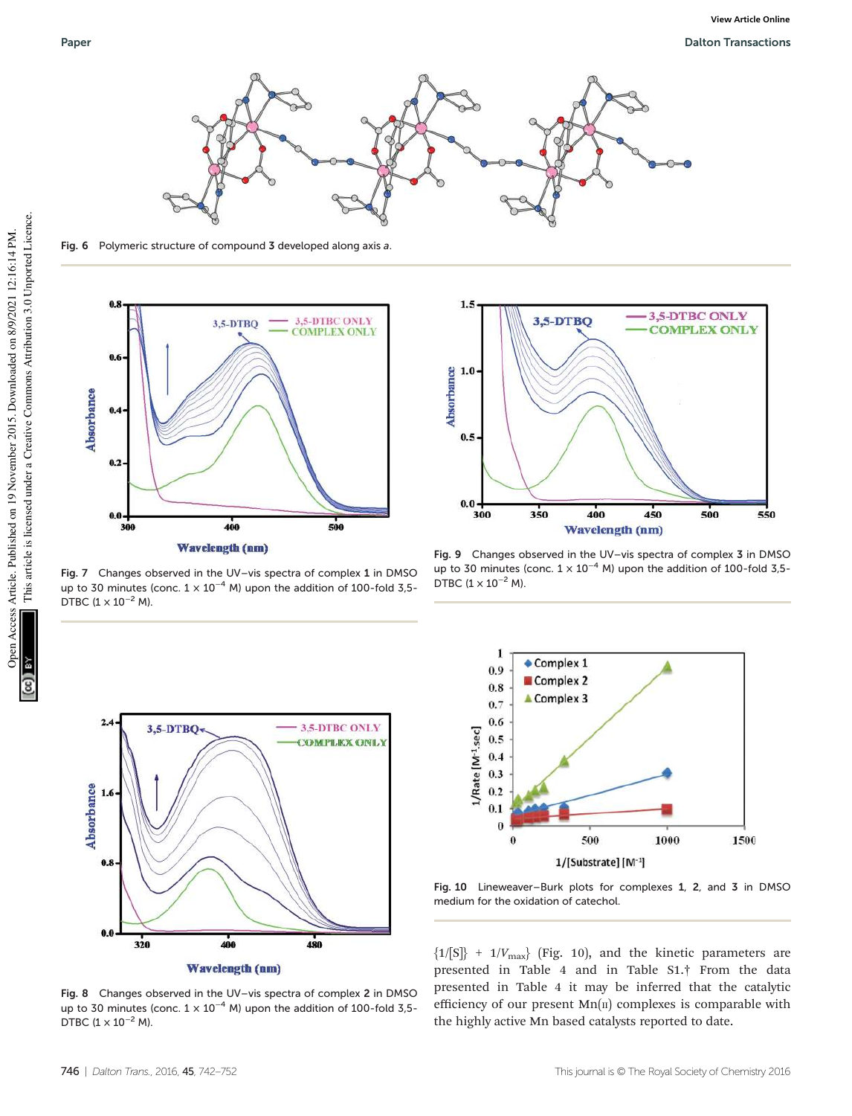

Fig. 6 Polymeric structure of compound 3 developed along axis a.



Fig. 7 Changes observed in the UV–vis spectra of complex 1 in DMSO up to 30 minutes (conc.  $1 \times 10^{-4}$  M) upon the addition of 100-fold 3,5-DTBC  $(1 \times 10^{-2}$  M).



Fig. 8 Changes observed in the UV–vis spectra of complex 2 in DMSO up to 30 minutes (conc.  $1 \times 10^{-4}$  M) upon the addition of 100-fold 3,5-DTBC  $(1 \times 10^{-2}$  M).



Fig. 9 Changes observed in the UV–vis spectra of complex 3 in DMSO up to 30 minutes (conc.  $1 \times 10^{-4}$  M) upon the addition of 100-fold 3,5-DTBC  $(1 \times 10^{-2}$  M).



Fig. 10 Lineweaver–Burk plots for complexes 1, 2, and 3 in DMSO medium for the oxidation of catechol.

 ${1/[S]} + 1/V_{\text{max}}$  (Fig. 10), and the kinetic parameters are presented in Table 4 and in Table S1.† From the data presented in Table 4 it may be inferred that the catalytic efficiency of our present  $Mn(\pi)$  complexes is comparable with the highly active Mn based catalysts reported to date.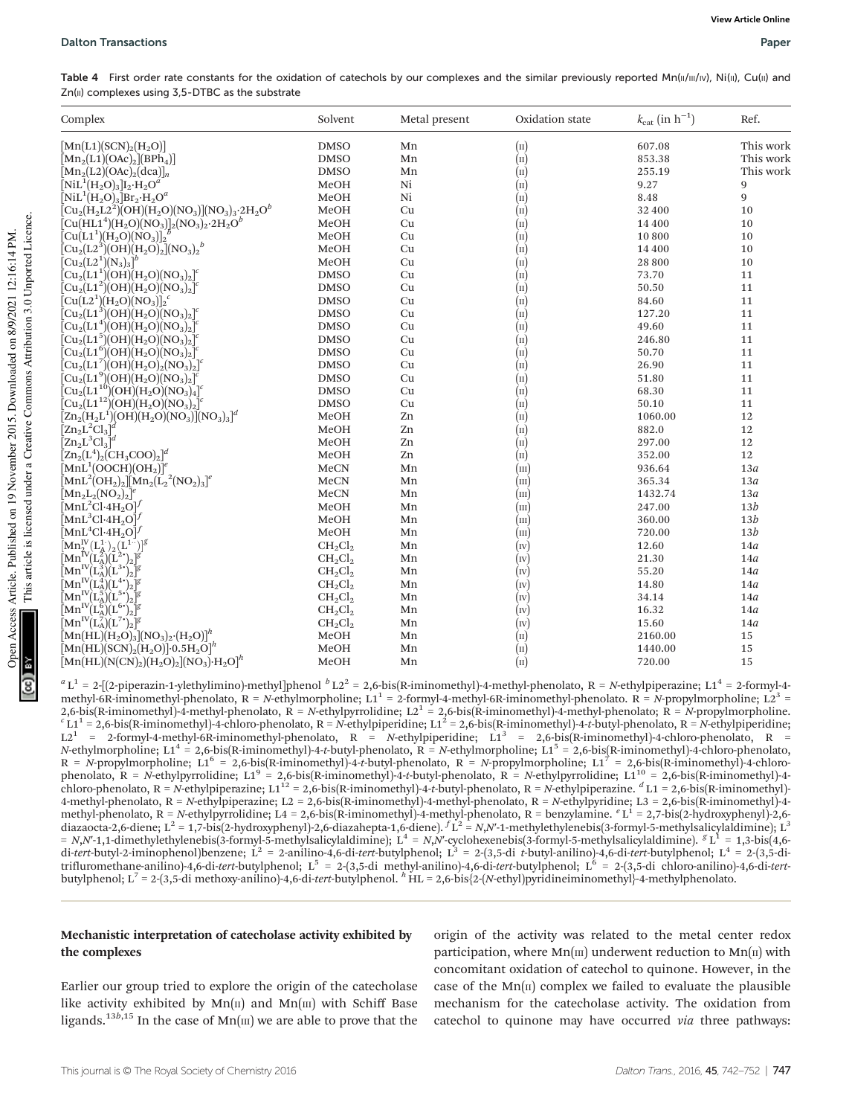Table 4 First order rate constants for the oxidation of catechols by our complexes and the similar previously reported Mn(II/III/IV), Ni(II), Cu(II) and  $Zn(II)$  complexes using  $3,5-DTBC$  as the substrate

| Complex                                                                                                                                                                    | Solvent     | Metal present | Oxidation state            | $k_{\text{cat}}$ (in $h^{-1}$ ) | Ref.      |
|----------------------------------------------------------------------------------------------------------------------------------------------------------------------------|-------------|---------------|----------------------------|---------------------------------|-----------|
| $[\text{Mn(L1)}(\text{SCN})_{2}(\text{H}_{2}\text{O})]$                                                                                                                    | <b>DMSO</b> | Mn            | $(\text{II})$              | 607.08                          | This work |
| $[\text{Mn}_2(\text{L1})(\text{OAc})_2](\text{BPh}_4)]$                                                                                                                    | <b>DMSO</b> | Mn            | $\left( \text{II} \right)$ | 853.38                          | This work |
| $[\text{Mn}_2(\text{L2})(\text{OAc})_2(\text{dca})]_n$                                                                                                                     | <b>DMSO</b> | Mn            | $\left( \text{II} \right)$ | 255.19                          | This work |
| $\left[\text{Nil}^1(\text{H}_2\text{O})_3\right]\text{I}_2\cdot\text{H}_2\text{O}^a$                                                                                       | MeOH        | Ni            | $(\text{II})$              | 9.27                            | 9         |
| $\bar{\left[\textrm{NiL}^1(\textrm{H}_2\textrm{O})_3\right]}$ Br <sub>2</sub> ·H <sub>2</sub> O <sup>a</sup>                                                               | MeOH        | Ni            | $\left( \text{II} \right)$ | 8.48                            | 9         |
| $\rm \bar{[Cu_2(H_2L2^2)\bar{(OH)}(H_2O)(NO_3)](NO_3)_3\cdot 2H_2O^b}$                                                                                                     | MeOH        | Cu            | $\left( \text{II} \right)$ | 32 400                          | 10        |
| $[Cu(HL14)(H2O)(NO3)]2(NO3)2·2H2Ob$                                                                                                                                        | MeOH        | Cu            | $(\text{II})$              | 14 400                          | 10        |
| $[Cu(L1^1)(H_2O)(NO_3)]_2^2$                                                                                                                                               | MeOH        | Cu            | $\left( \text{II} \right)$ | 10 800                          | 10        |
| $\left[\mathrm{Cu_2(L2^3)}\right]\!\!\left(\mathrm{OH}\right)\!\!\left(\mathrm{H_2O}\right)\!\!\!{}_{2}\!\!\left]\!\!\left(\mathrm{NO_3}\right)\!\!\!{}_{2}\!{}^{b}$       | MeOH        | Cu            | $\left( \text{II} \right)$ | 14 400                          | 10        |
| $[\mathrm{Cu_2(L2^1)(N_3)_3}]^b$                                                                                                                                           | MeOH        | Cu            | $\left( \text{II} \right)$ | 28 800                          | 10        |
| $[\mathrm{Cu_2(L1^1)(OH)(H_2O)(NO_3)_2}]^c$                                                                                                                                | <b>DMSO</b> | Cu            | $\left( \text{II} \right)$ | 73.70                           | 11        |
| $[{\rm Cu_2(L1^2)}\rm{(OH)}\rm{(H_2O)}\rm{(NO_3)_2}]^c$                                                                                                                    | <b>DMSO</b> | Cu            | $\left( \text{II} \right)$ | 50.50                           | 11        |
| $[Cu(L2^{1})(H_{2}O)(NO_{3})]_{2}^{c}$                                                                                                                                     | <b>DMSO</b> | Cu            | $\left( \text{II} \right)$ | 84.60                           | 11        |
| $[Cu2(L13)(OH)(H2O)(NO3)2]c$                                                                                                                                               | <b>DMSO</b> | Cu            | $(\text{II})$              | 127.20                          | 11        |
| $[\mathrm{Cu_2(L1^4)(OH)(H_2O)(NO_3)_2}]^c$                                                                                                                                | <b>DMSO</b> | Cu            | $\left( \text{II} \right)$ | 49.60                           | 11        |
| $[{\rm Cu_2(L1^5)(OH)(H_2O)(NO_3)_2}]^c$                                                                                                                                   | <b>DMSO</b> | Cu            | $\left( \text{II} \right)$ | 246.80                          | $11\,$    |
| $[{\rm Cu_2(L1^6)(OH)(H_2O)(NO_3)_2}]^c$                                                                                                                                   | <b>DMSO</b> | Cu            | $\left( \text{II} \right)$ | 50.70                           | 11        |
| $\rm \left[ Cu_2(L1^7)(OH)(H_2O)_2(NO_3)_2 \right]^c$                                                                                                                      | <b>DMSO</b> | Cu            | $\left( \text{II} \right)$ | 26.90                           | $11\,$    |
| $[{\rm Cu_2(L1^9)}\rm{(OH)}\rm{(H_2O)}\rm{(NO_3)_2}]^c$                                                                                                                    | <b>DMSO</b> | Cu            | $\left( \text{II} \right)$ | 51.80                           | 11        |
| $\text{Cu}_2\text{(L1}^{10})\text{(OH)}\text{(H}_2\text{O)}\text{(NO}_3\text{)}_4\text{]}^c$                                                                               | <b>DMSO</b> | Cu            | $\left( \text{II} \right)$ | 68.30                           | 11        |
| $\text{[Cu}_2\text{[L1}^{12})\text{[OH)}\text{[H}_2\text{O)}\text{[NO}_3\text{]}_2\text{]}^c$                                                                              | <b>DMSO</b> | Cu            | $(\text{II})$              | 50.10                           | 11        |
| $\left[\text{Zn}_2(\text{H}_2\text{L}^1)(\text{OH})(\text{H}_2\text{O})(\text{NO}_3)\right](\text{NO}_3)_3]^d$                                                             | MeOH        | Zn            | $\left( \text{II} \right)$ | 1060.00                         | 12        |
| $[\mathrm{Zn}_2\mathrm{L}^2\mathrm{Cl}_3]^d$                                                                                                                               | MeOH        | Zn            | $\left( \text{II} \right)$ | 882.0                           | 12        |
| $[\mathrm{Zn}_2\mathrm{L}^3\mathrm{Cl}_3]^d$                                                                                                                               | MeOH        | Zn            | $\left( \text{II} \right)$ | 297.00                          | 12        |
| $[\text{Zn}_2(\text{L}^4)_2(\text{CH}_3\text{COO})_2]^d$                                                                                                                   | MeOH        | Zn            | $\left( \text{II} \right)$ | 352.00                          | 12        |
| $[\text{MnL}^1(\text{OOCH})(\text{OH}_2)]^e$                                                                                                                               | MeCN        | Mn            | (m)                        | 936.64                          | 13a       |
| $\frac{1}{2}$ MnL <sup>2</sup> (OH <sub>2</sub> ) <sub>2</sub> ] $\frac{1}{2}$ Mn <sub>2</sub> (L <sub>2</sub> <sup>2</sup> (NO <sub>2</sub> ) <sub>3</sub> ] <sup>e</sup> | MeCN        | Mn            | (m)                        | 365.34                          | 13a       |
| $[Mn_2L_2(NO_2)_2]^e$                                                                                                                                                      | MeCN        | Mn            | (m)                        | 1432.74                         | 13a       |
| $\rm [MnL^2Cl·4H_2O]^{\prime}$                                                                                                                                             | MeOH        | Mn            | $(\text{III})$             | 247.00                          | 13b       |
| $[\text{MnL}^3\text{Cl-4H}_2\text{O}]^f$                                                                                                                                   | MeOH        | Mn            | (m)                        | 360.00                          | 13b       |
| $\rm [MnL^{4}Cl·4H_{2}O]^{1/2}$                                                                                                                                            | MeOH        | Mn            | (m)                        | 720.00                          | 13b       |
| $[{\rm Mn}_{2}^{\rm IV}({\rm L}_{\rm A}^{1.})^{\vphantom{\dagger}}_{2} ({\rm L}^{1.7})]^g$                                                                                 | $CH_2Cl_2$  | Mn            | (w)                        | 12.60                           | 14a       |
| $[\mathrm{Mn}^{\mathrm{IV}}(\mathrm{L}^2_\mathrm{A})(\mathrm{\bar{L}}^2{}^\bullet)_2]^{g'}$                                                                                | $CH_2Cl_2$  | Mn            | (w)                        | 21.30                           | 14a       |
| $\left[\text{Mn}^{\text{IV}}(\text{L}_\text{A}^3)(\text{L}^3)\right]$ g                                                                                                    | $CH_2Cl_2$  | Mn            | (w)                        | 55.20                           | 14a       |
| $\rm \bar{[Mn^{IV}(L_A^4)(L^{4*})_2]^g}$                                                                                                                                   | $CH_2Cl_2$  | Mn            | (w)                        | 14.80                           | 14a       |
| $\bar{[{\rm Mn}^{\rm IV}\!(\rm L_{A}^5)\!(\rm L^{5+})_2]^g}$                                                                                                               | $CH_2Cl_2$  | Mn            | (w)                        | 34.14                           | 14a       |
| $\rm \bar{[Mn^{IV}(L_A^6)(L^{6*})_2]^g}$                                                                                                                                   | $CH_2Cl_2$  | Mn            | (w)                        | 16.32                           | 14a       |
| $\rm \bar{M}n^{IV}\rm \bar{L}^{7}_{A}\rm \bar{L}^{7}\rm \bar{L}^{7}\rm \bar{L}^{3}$                                                                                        | $CH_2Cl_2$  | Mn            | $(\mathbf{v})$             | 15.60                           | 14a       |
| $\left[\text{Mn}(\text{HL})(\text{H}_2\text{O})_3\right](\text{NO}_3)_2 \cdot (\text{H}_2\text{O})\right]^h$                                                               | MeOH        | Mn            | $(\text{II})$              | 2160.00                         | 15        |
| $\mathrm{[Mn(HL)(SCN)}_{2}\mathrm{(H}_{2}\mathrm{O)}] \cdot 0.5 \mathrm{H}_{2}\mathrm{O}]^{h}$                                                                             | MeOH        | Mn            | $\left( \text{II} \right)$ | 1440.00                         | 15        |
| $[\text{Mn}(\text{HL})(\text{N}(\text{CN})_2)(\text{H}_2\text{O})_2][\text{NO}_3]\cdot\text{H}_2\text{O}]^h$                                                               | MeOH        | Mn            | $(\text{II})$              | 720.00                          | 15        |

 $a_{L}$ <sup>1</sup> = 2-[(2-piperazin-1-ylethylimino)-methyl]phenol  $b_{L}$ 2<sup>2</sup> = 2,6-bis(R-iminomethyl)-4-methyl-phenolato, R = N-ethylpiperazine; L1<sup>4</sup> = 2-formyl-4methyl-6R-iminomethyl-phenolato,  $R = N$ -ethylmorpholine;  $L1^1 = 2$ -formyl-4-methyl-6R-iminomethyl-phenolato.  $R = N$ -propylmorpholine;  $L2^3 =$ 2,6-bis(R-iminomethyl)-4-methyl-phenolato,  $R = N$ -ethylpyrrolidine;  $L2^1 = 2,6$ -bis(R-iminomethyl)-4-methyl-phenolato;  $R = N$ -propylmorpholine.<br>
<sup>c</sup> L1<sup>1</sup> = 2,6-bis(R-iminomethyl)-4-chloro-phenolato,  $R = N$ -ethylpiperidine;  $R = N$ -propylmorpholine; L1<sup>6</sup> = 2,6-bis(R-iminomethyl)-4-t-butyl-phenolato,  $R = N$ -propylmorpholine; L1<sup>7</sup> = 2,6-bis(R-iminomethyl)-4-chlorophenolato,  $R = N$ -ethylpyrrolidine; L1<sup>9</sup> = 2,6-bis(R-iminomethyl)-4-t-butyl-phenolato,  $R = N$ -ethylpyrrolidine; L1<sup>10</sup> = 2,6-bis(R-iminomethyl)-4chloro-phenolato, R = N-ethylpiperazine; L112 = 2,6-bis(R-iminomethyl)-4-t-butyl-phenolato, R = N-ethylpiperazine.  ${}^d$ L1 = 2,6-bis(R-iminomethyl)-4-methyl-phenolato, R = N-ethylpiperazine; L2 = 2,6-bis(R-iminomethyl)-4-methyl-phenolato, R = N-ethylpyridine; L3 = 2,6-bis(R-iminomethyl)-4 methyl-phenolato, R = N-ethylpyrrolidine; L4 = 2,6-bis(R-iminomethyl)-4-methyl-phenolato, R = benzylamine. <sup>e</sup> L<sup>1</sup> = 2,7-bis(2-hydroxyphenyl)-2,6-<br>diazaocta-2,6-diene; L<sup>2</sup> = 1,7-bis(2-hydroxyphenyl)-2,6-diazahepta-1,6-di =  $N_1N$ -1,1-dimethylethylenebis(3-formyl-5-methylsalicylaldimine);  $L^4 = N_1N$ -cyclohexenebis(3-formyl-5-methylsalicylaldimine).  ${}^gL^1 = 1,3$ -bis(4,6-<br>di-*tert*-butyl-2-iminophenol)benzene;  $L^2 = 2$ -anilino-4,6-di-tert-b butylphenol; L<sup>7</sup> = 2-(3,5-di methoxy-anilino)-4,6-di-tert-butylphenol. h HL = 2,6-bis{2-(N-ethyl)pyridineiminomethyl}-4-methylphenolato.

#### Mechanistic interpretation of catecholase activity exhibited by the complexes

Earlier our group tried to explore the origin of the catecholase like activity exhibited by  $Mn(\text{II})$  and  $Mn(\text{III})$  with Schiff Base ligands.<sup>13b,15</sup> In the case of  $Mn(m)$  we are able to prove that the

origin of the activity was related to the metal center redox participation, where  $Mn(m)$  underwent reduction to  $Mn(n)$  with concomitant oxidation of catechol to quinone. However, in the case of the  $Mn(\pi)$  complex we failed to evaluate the plausible mechanism for the catecholase activity. The oxidation from catechol to quinone may have occurred via three pathways: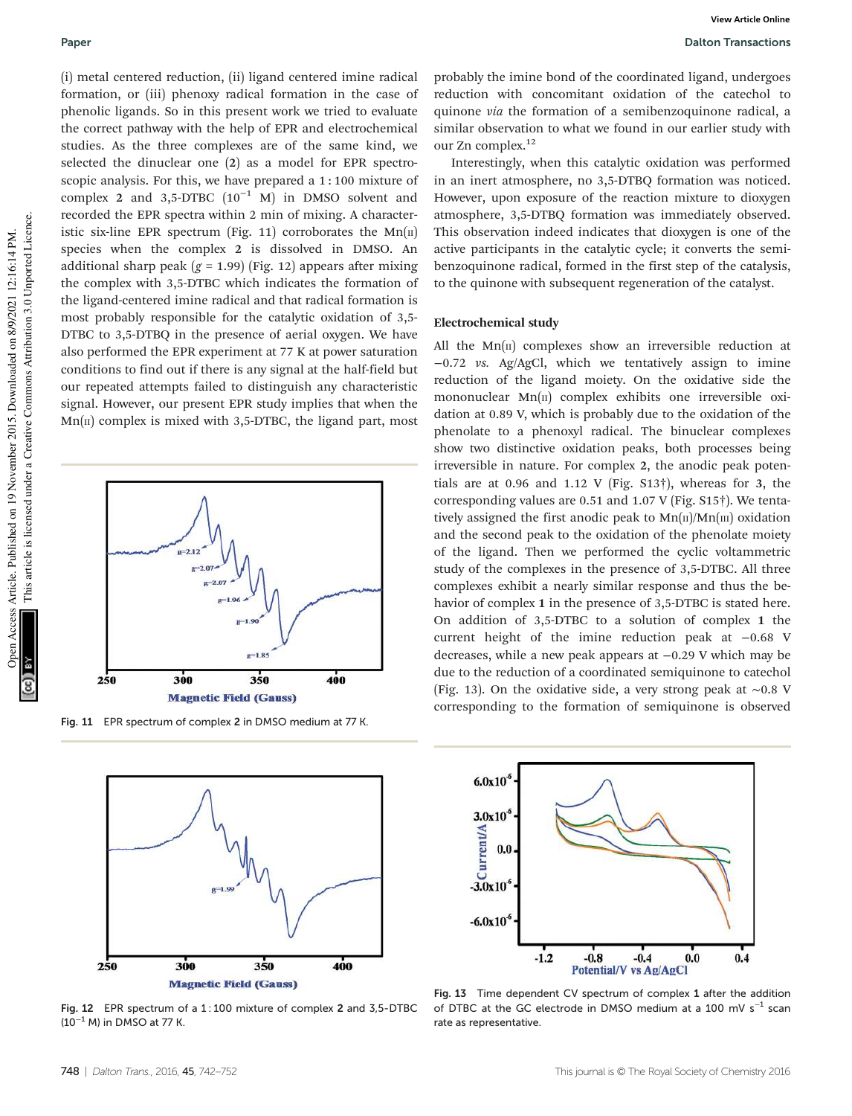(i) metal centered reduction, (ii) ligand centered imine radical formation, or (iii) phenoxy radical formation in the case of phenolic ligands. So in this present work we tried to evaluate the correct pathway with the help of EPR and electrochemical studies. As the three complexes are of the same kind, we selected the dinuclear one (2) as a model for EPR spectroscopic analysis. For this, we have prepared a 1 : 100 mixture of complex 2 and 3,5-DTBC  $(10^{-1}$  M) in DMSO solvent and recorded the EPR spectra within 2 min of mixing. A characteristic six-line EPR spectrum (Fig. 11) corroborates the  $Mn(\text{II})$ species when the complex 2 is dissolved in DMSO. An additional sharp peak ( $g = 1.99$ ) (Fig. 12) appears after mixing the complex with 3,5-DTBC which indicates the formation of the ligand-centered imine radical and that radical formation is most probably responsible for the catalytic oxidation of 3,5- DTBC to 3,5-DTBQ in the presence of aerial oxygen. We have also performed the EPR experiment at 77 K at power saturation conditions to find out if there is any signal at the half-field but our repeated attempts failed to distinguish any characteristic signal. However, our present EPR study implies that when the  $Mn(\pi)$  complex is mixed with 3,5-DTBC, the ligand part, most



Fig. 11 EPR spectrum of complex 2 in DMSO medium at 77 K.



Fig. 12 EPR spectrum of a 1 : 100 mixture of complex 2 and 3,5-DTBC  $(10^{-1}$  M) in DMSO at 77 K.

Interestingly, when this catalytic oxidation was performed in an inert atmosphere, no 3,5-DTBQ formation was noticed. However, upon exposure of the reaction mixture to dioxygen atmosphere, 3,5-DTBQ formation was immediately observed. This observation indeed indicates that dioxygen is one of the active participants in the catalytic cycle; it converts the semibenzoquinone radical, formed in the first step of the catalysis, to the quinone with subsequent regeneration of the catalyst.

#### Electrochemical study

All the  $Mn(\Pi)$  complexes show an irreversible reduction at −0.72 vs. Ag/AgCl, which we tentatively assign to imine reduction of the ligand moiety. On the oxidative side the mononuclear  $Mn(\pi)$  complex exhibits one irreversible oxidation at 0.89 V, which is probably due to the oxidation of the phenolate to a phenoxyl radical. The binuclear complexes show two distinctive oxidation peaks, both processes being irreversible in nature. For complex 2, the anodic peak potentials are at 0.96 and 1.12 V (Fig.  $S13\dagger$ ), whereas for 3, the corresponding values are 0.51 and 1.07 V (Fig. S15†). We tentatively assigned the first anodic peak to  $Mn(\text{II})/Mn(\text{III})$  oxidation and the second peak to the oxidation of the phenolate moiety of the ligand. Then we performed the cyclic voltammetric study of the complexes in the presence of 3,5-DTBC. All three complexes exhibit a nearly similar response and thus the behavior of complex 1 in the presence of 3,5-DTBC is stated here. On addition of 3,5-DTBC to a solution of complex 1 the current height of the imine reduction peak at −0.68 V decreases, while a new peak appears at −0.29 V which may be due to the reduction of a coordinated semiquinone to catechol (Fig. 13). On the oxidative side, a very strong peak at ∼0.8 V corresponding to the formation of semiquinone is observed



Fig. 13 Time dependent CV spectrum of complex 1 after the addition of DTBC at the GC electrode in DMSO medium at a 100 mV  $s^{-1}$  scan rate as representative.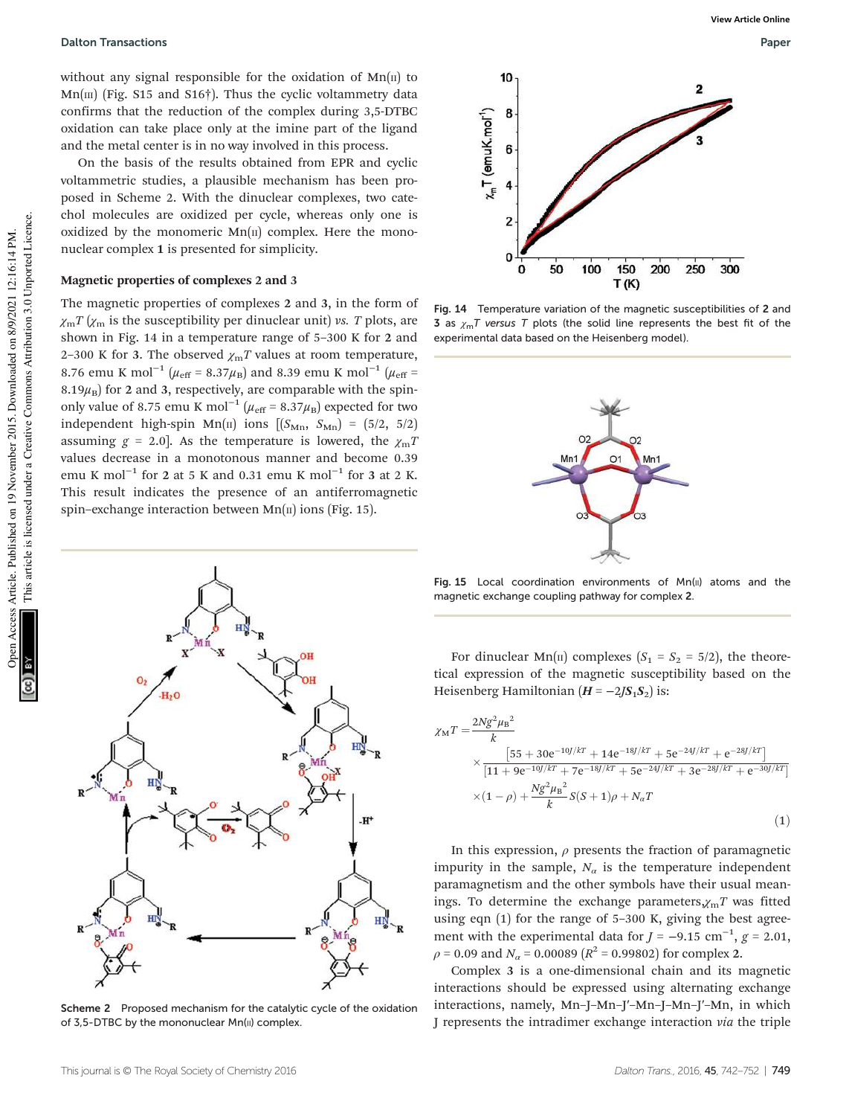Dalton Transactions Paper

without any signal responsible for the oxidation of  $Mn(\mu)$  to  $Mn$ [III] (Fig. S15 and S16†). Thus the cyclic voltammetry data confirms that the reduction of the complex during 3,5-DTBC oxidation can take place only at the imine part of the ligand and the metal center is in no way involved in this process.

On the basis of the results obtained from EPR and cyclic voltammetric studies, a plausible mechanism has been proposed in Scheme 2. With the dinuclear complexes, two catechol molecules are oxidized per cycle, whereas only one is oxidized by the monomeric  $Mn(\pi)$  complex. Here the mononuclear complex 1 is presented for simplicity.

### Magnetic properties of complexes 2 and 3

The magnetic properties of complexes 2 and 3, in the form of  $\chi_{\rm m}T(\chi_{\rm m})$  is the susceptibility per dinuclear unit) vs. T plots, are shown in Fig. 14 in a temperature range of 5–300 K for 2 and 2-300 K for 3. The observed  $\chi_{\rm m}T$  values at room temperature, 8.76 emu K mol<sup>-1</sup> ( $\mu_{\rm eff}$  = 8.37 $\mu_{\rm B}$ ) and 8.39 emu K mol<sup>-1</sup> ( $\mu_{\rm eff}$  = 8.19 $\mu_B$ ) for 2 and 3, respectively, are comparable with the spinonly value of 8.75 emu K mol<sup>-1</sup> ( $\mu_{\text{eff}}$  = 8.37 $\mu_{\text{B}}$ ) expected for two independent high-spin Mn(II) ions  $[(S_{\text{Mn}}, S_{\text{Mn}}) = (5/2, 5/2)]$ assuming  $g = 2.0$ . As the temperature is lowered, the  $\chi_{\text{m}}$ T values decrease in a monotonous manner and become 0.39 emu K mol<sup>-1</sup> for 2 at 5 K and 0.31 emu K mol<sup>-1</sup> for 3 at 2 K. This result indicates the presence of an antiferromagnetic spin–exchange interaction between  $Mn(\text{II})$  ions (Fig. 15).



Scheme 2 Proposed mechanism for the catalytic cycle of the oxidation of 3,5-DTBC by the mononuclear Mn(II) complex.



Fig. 14 Temperature variation of the magnetic susceptibilities of 2 and 3 as  $\gamma_m T$  versus T plots (the solid line represents the best fit of the experimental data based on the Heisenberg model).



Fig. 15 Local coordination environments of  $Mn(u)$  atoms and the magnetic exchange coupling pathway for complex 2.

For dinuclear Mn( $\pi$ ) complexes ( $S_1 = S_2 = 5/2$ ), the theoretical expression of the magnetic susceptibility based on the Heisenberg Hamiltonian  $(H = -2JS_1S_2)$  is:

$$
\chi_{\rm M}T = \frac{2Ng^2\mu_{\rm B}^2}{k} \times \frac{[55 + 30e^{-10]/kT} + 14e^{-18J/kT} + 5e^{-24J/kT} + e^{-28J/kT}]}{[11 + 9e^{-10J/kT} + 7e^{-18J/kT} + 5e^{-24J/kT} + 3e^{-28J/kT} + e^{-30J/kT}]} \times (1 - \rho) + \frac{Ng^2\mu_{\rm B}^2}{k}S(S + 1)\rho + N_aT
$$
\n(1)

In this expression,  $\rho$  presents the fraction of paramagnetic impurity in the sample,  $N_a$  is the temperature independent paramagnetism and the other symbols have their usual meanings. To determine the exchange parameters, $\chi_{\rm m}T$  was fitted using eqn (1) for the range of 5–300 K, giving the best agreement with the experimental data for  $J = -9.15$  cm<sup>-1</sup>,  $g = 2.01$ ,  $\rho$  = 0.09 and  $N_{\alpha}$  = 0.00089 ( $R^2$  = 0.99802) for complex 2.

Complex 3 is a one-dimensional chain and its magnetic interactions should be expressed using alternating exchange interactions, namely, Mn–J–Mn–J′–Mn–J–Mn–J′–Mn, in which J represents the intradimer exchange interaction via the triple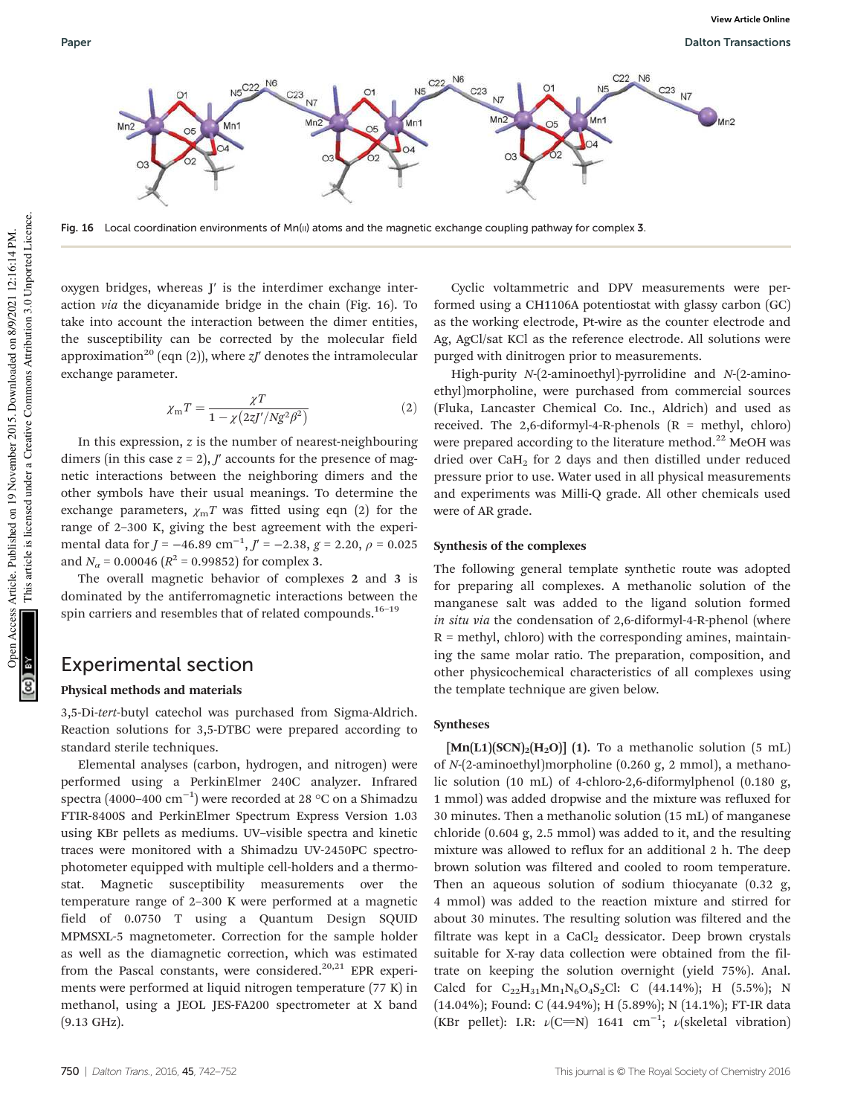

Fig. 16 Local coordination environments of Mn( $\mu$ ) atoms and the magnetic exchange coupling pathway for complex 3.

oxygen bridges, whereas J′ is the interdimer exchange interaction via the dicyanamide bridge in the chain (Fig. 16). To take into account the interaction between the dimer entities, the susceptibility can be corrected by the molecular field approximation<sup>20</sup> (eqn (2)), where  $zJ'$  denotes the intramolecular exchange parameter.

$$
\chi_{\rm m}T = \frac{\chi T}{1 - \chi \left(2z J'/Ng^2 \beta^2\right)}\tag{2}
$$

In this expression, z is the number of nearest-neighbouring dimers (in this case  $z = 2$ ),  $J'$  accounts for the presence of magnetic interactions between the neighboring dimers and the other symbols have their usual meanings. To determine the exchange parameters,  $\chi_{\rm m}T$  was fitted using eqn (2) for the range of 2–300 K, giving the best agreement with the experimental data for  $J = -46.89$  cm<sup>-1</sup>,  $J' = -2.38$ ,  $g = 2.20$ ,  $\rho = 0.025$ and  $N_a$  = 0.00046 ( $R^2$  = 0.99852) for complex 3.

The overall magnetic behavior of complexes 2 and 3 is dominated by the antiferromagnetic interactions between the spin carriers and resembles that of related compounds.<sup>16-19</sup>

## Experimental section

#### Physical methods and materials

3,5-Di-tert-butyl catechol was purchased from Sigma-Aldrich. Reaction solutions for 3,5-DTBC were prepared according to standard sterile techniques.

Elemental analyses (carbon, hydrogen, and nitrogen) were performed using a PerkinElmer 240C analyzer. Infrared spectra (4000–400  $\rm cm^{-1})$  were recorded at 28 °C on a Shimadzu FTIR-8400S and PerkinElmer Spectrum Express Version 1.03 using KBr pellets as mediums. UV–visible spectra and kinetic traces were monitored with a Shimadzu UV-2450PC spectrophotometer equipped with multiple cell-holders and a thermostat. Magnetic susceptibility measurements over the temperature range of 2–300 K were performed at a magnetic field of 0.0750 T using a Quantum Design SQUID MPMSXL-5 magnetometer. Correction for the sample holder as well as the diamagnetic correction, which was estimated from the Pascal constants, were considered.<sup>20,21</sup> EPR experiments were performed at liquid nitrogen temperature (77 K) in methanol, using a JEOL JES-FA200 spectrometer at X band (9.13 GHz).

Cyclic voltammetric and DPV measurements were performed using a CH1106A potentiostat with glassy carbon (GC) as the working electrode, Pt-wire as the counter electrode and Ag, AgCl/sat KCl as the reference electrode. All solutions were purged with dinitrogen prior to measurements.

High-purity N-(2-aminoethyl)-pyrrolidine and N-(2-aminoethyl)morpholine, were purchased from commercial sources (Fluka, Lancaster Chemical Co. Inc., Aldrich) and used as received. The 2,6-diformyl-4-R-phenols  $(R = \text{methyl}, \text{chloro})$ were prepared according to the literature method.<sup>22</sup> MeOH was dried over CaH<sub>2</sub> for 2 days and then distilled under reduced pressure prior to use. Water used in all physical measurements and experiments was Milli-Q grade. All other chemicals used were of AR grade.

#### Synthesis of the complexes

The following general template synthetic route was adopted for preparing all complexes. A methanolic solution of the manganese salt was added to the ligand solution formed in situ via the condensation of 2,6-diformyl-4-R-phenol (where  $R =$  methyl, chloro) with the corresponding amines, maintaining the same molar ratio. The preparation, composition, and other physicochemical characteristics of all complexes using the template technique are given below.

#### Syntheses

 $[\text{Mn}(L1)(SCN)<sub>2</sub>(H<sub>2</sub>O)]$  (1). To a methanolic solution (5 mL) of N-(2-aminoethyl)morpholine (0.260 g, 2 mmol), a methanolic solution (10 mL) of 4-chloro-2,6-diformylphenol (0.180 g, 1 mmol) was added dropwise and the mixture was refluxed for 30 minutes. Then a methanolic solution (15 mL) of manganese chloride (0.604 g, 2.5 mmol) was added to it, and the resulting mixture was allowed to reflux for an additional 2 h. The deep brown solution was filtered and cooled to room temperature. Then an aqueous solution of sodium thiocyanate (0.32 g, 4 mmol) was added to the reaction mixture and stirred for about 30 minutes. The resulting solution was filtered and the filtrate was kept in a CaCl<sub>2</sub> dessicator. Deep brown crystals suitable for X-ray data collection were obtained from the filtrate on keeping the solution overnight (yield 75%). Anal. Calcd for  $C_{22}H_{31}Mn_1N_6O_4S_2Cl$ : C (44.14%); H (5.5%); N (14.04%); Found: C (44.94%); H (5.89%); N (14.1%); FT-IR data (KBr pellet): I.R:  $\nu$ (C=N) 1641 cm<sup>-1</sup>;  $\nu$ (skeletal vibration)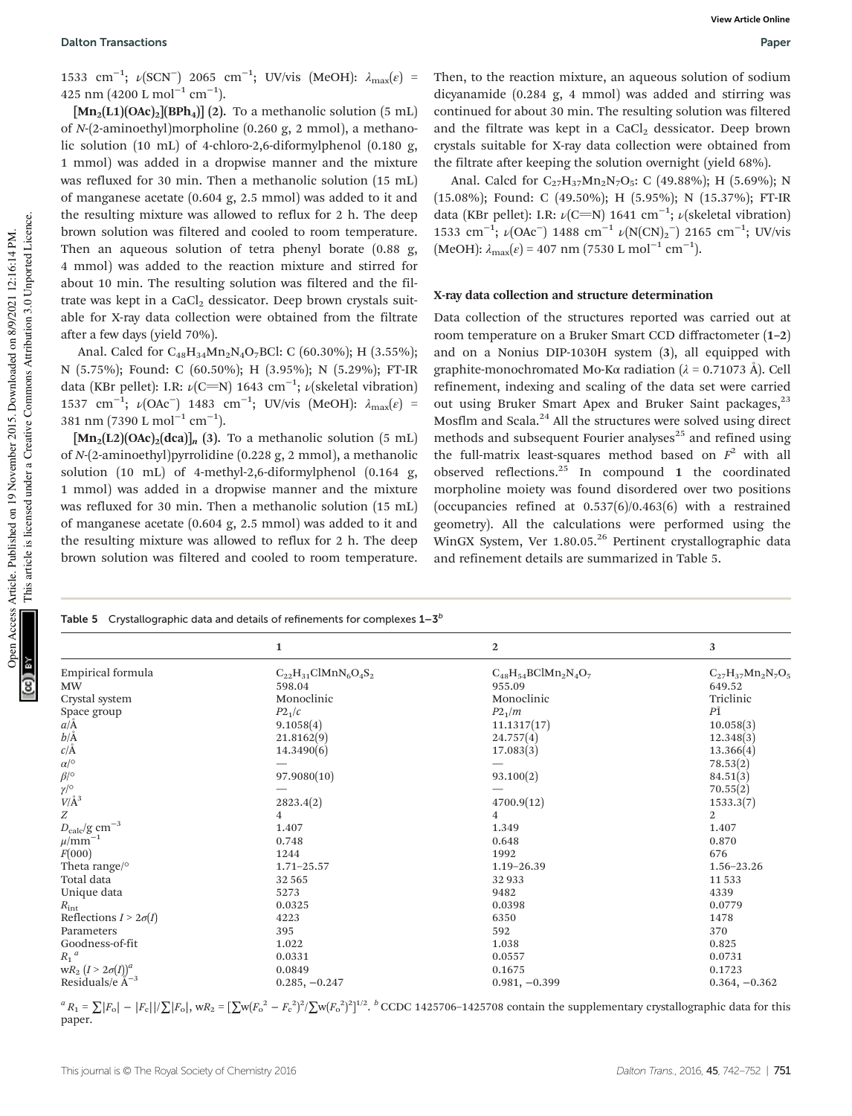1533 cm<sup>-1</sup>; ν(SCN<sup>-</sup>) 2065 cm<sup>-1</sup>; UV/vis (MeOH): λ<sub>max</sub>(ε) = 425 nm (4200 L mol<sup>-1</sup> cm<sup>-1</sup>).

 $[\text{Mn}_2(L1)(OAc)_2][BPh_4]$  (2). To a methanolic solution (5 mL) of N-(2-aminoethyl)morpholine (0.260 g, 2 mmol), a methanolic solution (10 mL) of 4-chloro-2,6-diformylphenol (0.180 g, 1 mmol) was added in a dropwise manner and the mixture was refluxed for 30 min. Then a methanolic solution (15 mL) of manganese acetate (0.604 g, 2.5 mmol) was added to it and the resulting mixture was allowed to reflux for 2 h. The deep brown solution was filtered and cooled to room temperature. Then an aqueous solution of tetra phenyl borate (0.88 g, 4 mmol) was added to the reaction mixture and stirred for about 10 min. The resulting solution was filtered and the filtrate was kept in a  $CaCl<sub>2</sub>$  dessicator. Deep brown crystals suitable for X-ray data collection were obtained from the filtrate after a few days (yield 70%).

Anal. Calcd for  $C_{48}H_{34}Mn_2N_4O_7BCl$ : C (60.30%); H (3.55%); N (5.75%); Found: C (60.50%); H (3.95%); N (5.29%); FT-IR data (KBr pellet): I.R:  $\nu$ (C=N) 1643 cm<sup>-1</sup>;  $\nu$ (skeletal vibration) 1537 cm<sup>-1</sup>; ν(OAc<sup>-</sup>) 1483 cm<sup>-1</sup>; UV/vis (MeOH): λ<sub>max</sub>(ε) = 381 nm (7390 L mol<sup>−1</sup> cm<sup>−1</sup>).

 $[\text{Mn}_2(L2)(OAc)_2(dca)]_n$  (3). To a methanolic solution (5 mL) of N-(2-aminoethyl)pyrrolidine (0.228 g, 2 mmol), a methanolic solution (10 mL) of 4-methyl-2,6-diformylphenol (0.164 g, 1 mmol) was added in a dropwise manner and the mixture was refluxed for 30 min. Then a methanolic solution (15 mL) of manganese acetate (0.604 g, 2.5 mmol) was added to it and the resulting mixture was allowed to reflux for 2 h. The deep brown solution was filtered and cooled to room temperature.

Then, to the reaction mixture, an aqueous solution of sodium dicyanamide (0.284 g, 4 mmol) was added and stirring was continued for about 30 min. The resulting solution was filtered and the filtrate was kept in a CaCl<sub>2</sub> dessicator. Deep brown crystals suitable for X-ray data collection were obtained from the filtrate after keeping the solution overnight (yield 68%).

Anal. Calcd for  $C_{27}H_{37}Mn_2N_7O_5$ : C (49.88%); H (5.69%); N (15.08%); Found: C (49.50%); H (5.95%); N (15.37%); FT-IR data (KBr pellet): I.R:  $\nu$ (C=N) 1641 cm<sup>-1</sup>;  $\nu$ (skeletal vibration) 1533 cm<sup>-1</sup>;  $\nu$ (OAc<sup>-</sup>) 1488 cm<sup>-1</sup>  $\nu$ (N(CN)<sub>2</sub><sup>-</sup>) 2165 cm<sup>-1</sup>; UV/vis  $(MeOH): \lambda_{\text{max}}(\varepsilon) = 407 \text{ nm} (7530 \text{ L mol}^{-1} \text{ cm}^{-1}).$ 

#### X-ray data collection and structure determination

Data collection of the structures reported was carried out at room temperature on a Bruker Smart CCD diffractometer (1–2) and on a Nonius DIP-1030H system (3), all equipped with graphite-monochromated Mo-Kα radiation (λ = 0.71073 Å). Cell refinement, indexing and scaling of the data set were carried out using Bruker Smart Apex and Bruker Saint packages,<sup>23</sup> Mosflm and Scala.<sup>24</sup> All the structures were solved using direct methods and subsequent Fourier analyses $^{25}$  and refined using the full-matrix least-squares method based on  $F^2$  with all observed reflections. $^{25}$  In compound 1 the coordinated morpholine moiety was found disordered over two positions (occupancies refined at 0.537(6)/0.463(6) with a restrained geometry). All the calculations were performed using the WinGX System, Ver 1.80.05.<sup>26</sup> Pertinent crystallographic data and refinement details are summarized in Table 5.

| Table 5 Crystallographic data and details of refinements for complexes $1-3^b$ |                             |                             |                          |  |
|--------------------------------------------------------------------------------|-----------------------------|-----------------------------|--------------------------|--|
|                                                                                | 1                           | $\mathbf{2}$                | 3                        |  |
| Empirical formula                                                              | $C_{22}H_{31}ClMnN_6O_4S_2$ | $C_{48}H_{54}BClMn_2N_4O_7$ | $C_{27}H_{37}Mn_2N_7O_5$ |  |
| <b>MW</b>                                                                      | 598.04                      | 955.09                      | 649.52                   |  |
| Crystal system                                                                 | Monoclinic                  | Monoclinic                  | Triclinic                |  |
| Space group                                                                    | $P2_1/c$                    | P2 <sub>1</sub> /m          | PĪ                       |  |
| $a/\text{\AA}$                                                                 | 9.1058(4)                   | 11.1317(17)                 | 10.058(3)                |  |
| $b/\text{\AA}$                                                                 | 21.8162(9)                  | 24.757(4)                   | 12.348(3)                |  |
| $c/\mathring{A}$                                                               | 14.3490(6)                  | 17.083(3)                   | 13.366(4)                |  |
| $\alpha/^\circ$                                                                |                             |                             | 78.53(2)                 |  |
| $\beta$ /°                                                                     | 97.9080(10)                 | 93.100(2)                   | 84.51(3)                 |  |
|                                                                                |                             |                             | 70.55(2)                 |  |
| $\gamma/\circ \over V/\text{\AA}^3$                                            | 2823.4(2)                   | 4700.9(12)                  | 1533.3(7)                |  |
| $\boldsymbol{Z}$                                                               | 4                           | $\overline{4}$              | $\overline{2}$           |  |
| $D_{\rm calc}/{\rm g~cm^{-3}}$ $\mu/{\rm mm^{-1}}$                             | 1.407                       | 1.349                       | 1.407                    |  |
|                                                                                | 0.748                       | 0.648                       | 0.870                    |  |
| F(000)                                                                         | 1244                        | 1992                        | 676                      |  |
| Theta range/ $\circ$                                                           | $1.71 - 25.57$              | $1.19 - 26.39$              | 1.56-23.26               |  |
| Total data                                                                     | 32565                       | 32933                       | 11 5 3 3                 |  |
| Unique data                                                                    | 5273                        | 9482                        | 4339                     |  |
| $R_{\rm int}$                                                                  | 0.0325                      | 0.0398                      | 0.0779                   |  |
| Reflections $I > 2\sigma(I)$                                                   | 4223                        | 6350                        | 1478                     |  |
| Parameters                                                                     | 395                         | 592                         | 370                      |  |
| Goodness-of-fit                                                                | 1.022                       | 1.038                       | 0.825                    |  |
| $R_1^a$                                                                        | 0.0331                      | 0.0557                      | 0.0731                   |  |
| $wR_2$ $(I > 2\sigma(I))^a$<br>Residuals/e Å <sup>-3</sup>                     | 0.0849                      | 0.1675                      | 0.1723                   |  |
|                                                                                | $0.285, -0.247$             | $0.981, -0.399$             | $0.364, -0.362$          |  |

 ${}^{a}R_{1} = \sum |F_{o}| - |F_{c}||/\sum |F_{o}|$ , w $R_{2} = [\sum w(F_{o}^{2} - F_{c}^{2})^{2}/\sum w(F_{o}^{2})^{2}]^{1/2}$ .  ${}^{b}$  CCDC 1425706-1425708 contain the supplementary crystallographic data for this paper.